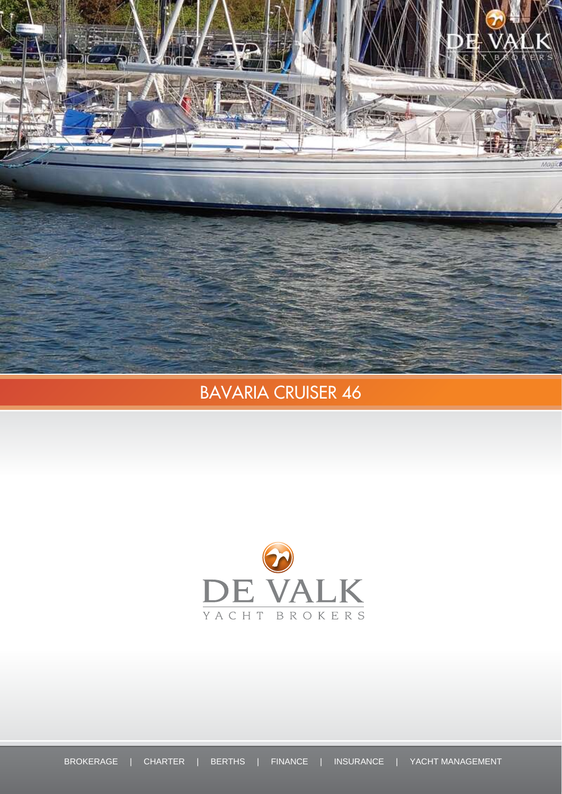

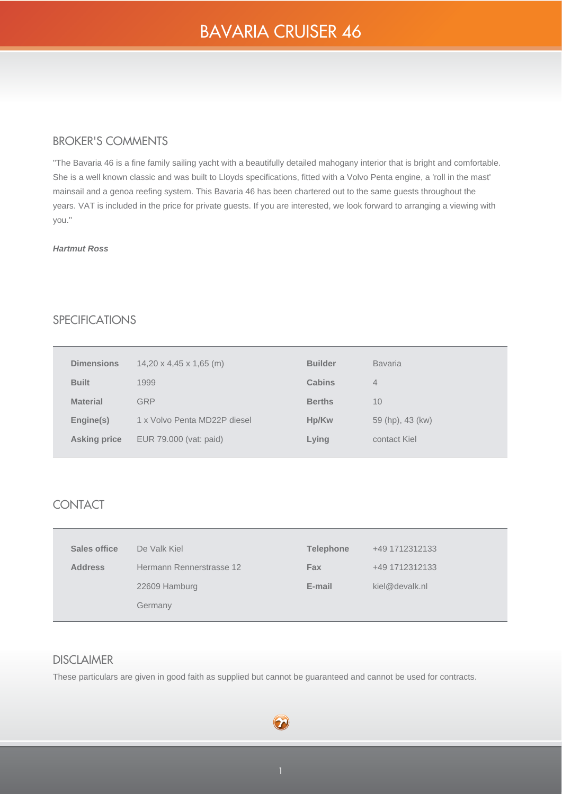#### **BROKER'S COMMENTS**

''The Bavaria 46 is a fine family sailing yacht with a beautifully detailed mahogany interior that is bright and comfortable. She is a well known classic and was built to Lloyds specifications, fitted with a Volvo Penta engine, a 'roll in the mast' mainsail and a genoa reefing system. This Bavaria 46 has been chartered out to the same guests throughout the years. VAT is included in the price for private guests. If you are interested, we look forward to arranging a viewing with you.''

#### **Hartmut Ross**

#### **SPECIFICATIONS**

| <b>Dimensions</b>   | $14,20 \times 4,45 \times 1,65$ (m) | <b>Builder</b>     | <b>Bavaria</b>   |
|---------------------|-------------------------------------|--------------------|------------------|
| <b>Built</b>        | 1999                                | Cabins             | $\overline{4}$   |
| <b>Material</b>     | <b>GRP</b>                          | <b>Berths</b>      | 10               |
| Engine(s)           | 1 x Volvo Penta MD22P diesel        | H <sub>p</sub> /Kw | 59 (hp), 43 (kw) |
| <b>Asking price</b> | EUR 79.000 (vat: paid)              | Lying              | contact Kiel     |
|                     |                                     |                    |                  |

#### **CONTACT**

| Sales office   | De Valk Kiel             | <b>Telephone</b> | +49 1712312133 |
|----------------|--------------------------|------------------|----------------|
| <b>Address</b> | Hermann Rennerstrasse 12 | <b>Fax</b>       | +49 1712312133 |
|                | 22609 Hamburg            | E-mail           | kiel@devalk.nl |
|                | Germany                  |                  |                |

#### **DISCLAIMER**

These particulars are given in good faith as supplied but cannot be guaranteed and cannot be used for contracts.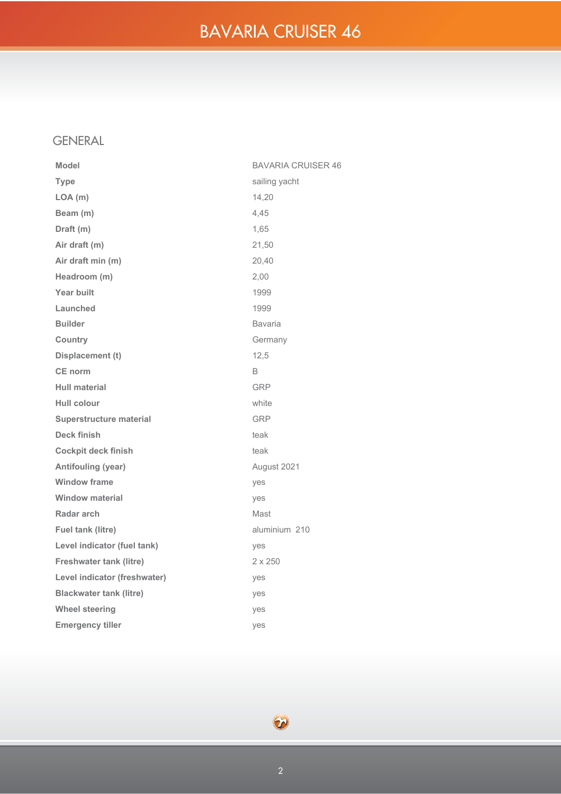#### **GENERAL**

| <b>Model</b>                   | <b>BAVARIA CRUISER 46</b> |
|--------------------------------|---------------------------|
| <b>Type</b>                    | sailing yacht             |
| LOA(m)                         | 14,20                     |
| Beam (m)                       | 4,45                      |
| Draft (m)                      | 1,65                      |
| Air draft (m)                  | 21,50                     |
| Air draft min (m)              | 20,40                     |
| Headroom (m)                   | 2,00                      |
| Year built                     | 1999                      |
| Launched                       | 1999                      |
| <b>Builder</b>                 | <b>Bavaria</b>            |
| Country                        | Germany                   |
| Displacement (t)               | 12,5                      |
| <b>CE</b> norm                 | B                         |
| <b>Hull material</b>           | <b>GRP</b>                |
| Hull colour                    | white                     |
| <b>Superstructure material</b> | <b>GRP</b>                |
| Deck finish                    | teak                      |
| <b>Cockpit deck finish</b>     | teak                      |
| Antifouling (year)             | August 2021               |
| <b>Window frame</b>            | yes                       |
| <b>Window material</b>         | yes                       |
| Radar arch                     | Mast                      |
| Fuel tank (litre)              | aluminium 210             |
| Level indicator (fuel tank)    | yes                       |
| <b>Freshwater tank (litre)</b> | $2 \times 250$            |
| Level indicator (freshwater)   | yes                       |
| <b>Blackwater tank (litre)</b> | yes                       |
| <b>Wheel steering</b>          | yes                       |
| <b>Emergency tiller</b>        | yes                       |

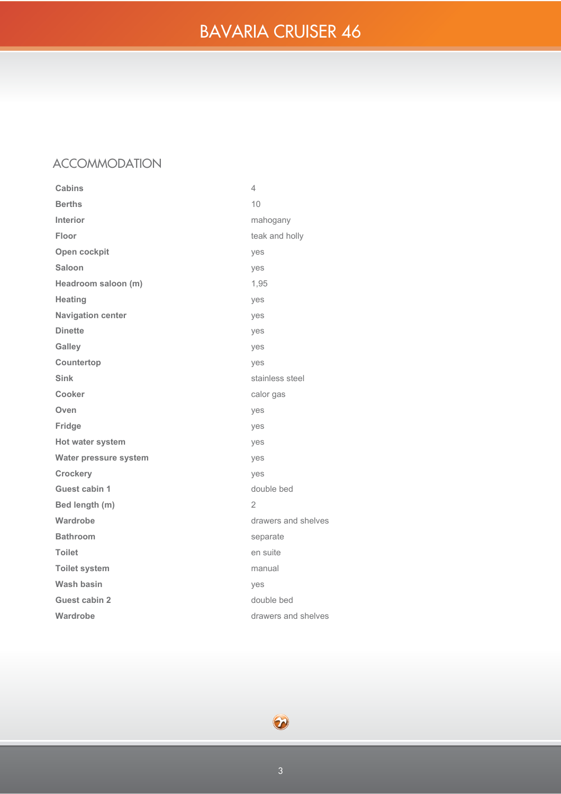### **ACCOMMODATION**

| Cabins                   | 4                   |
|--------------------------|---------------------|
| <b>Berths</b>            | 10                  |
| Interior                 | mahogany            |
| Floor                    | teak and holly      |
| Open cockpit             | yes                 |
| Saloon                   | yes                 |
| Headroom saloon (m)      | 1,95                |
| <b>Heating</b>           | yes                 |
| <b>Navigation center</b> | yes                 |
| <b>Dinette</b>           | yes                 |
| Galley                   | yes                 |
| Countertop               | yes                 |
| <b>Sink</b>              | stainless steel     |
| Cooker                   | calor gas           |
| Oven                     | yes                 |
| Fridge                   | yes                 |
| Hot water system         | yes                 |
| Water pressure system    | yes                 |
| <b>Crockery</b>          | yes                 |
| Guest cabin 1            | double bed          |
| Bed length (m)           | $\overline{2}$      |
| Wardrobe                 | drawers and shelves |
| <b>Bathroom</b>          | separate            |
| <b>Toilet</b>            | en suite            |
| <b>Toilet system</b>     | manual              |
| <b>Wash basin</b>        | yes                 |
| <b>Guest cabin 2</b>     | double bed          |
| Wardrobe                 | drawers and shelves |

 $\bigodot$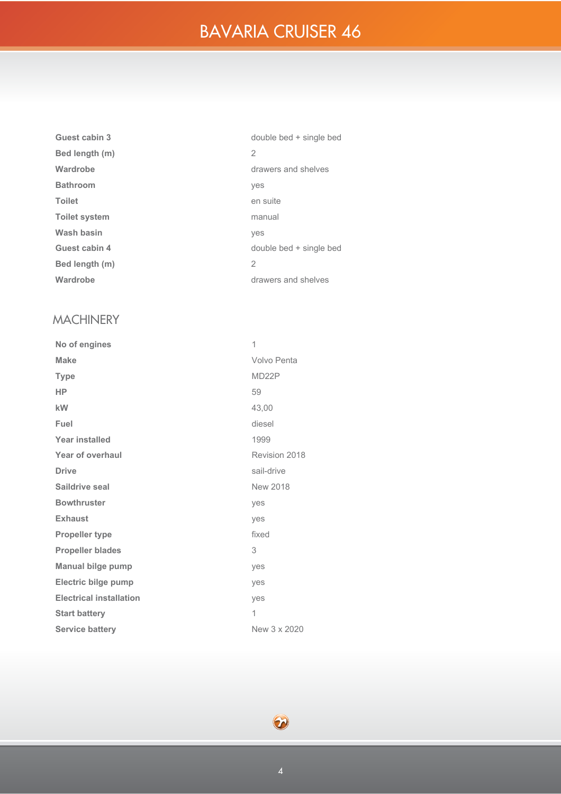**Bed length (m) 2 Bathroom yes Toilet en suite Toilet system manual Wash basin yes Bed length (m) 2 Wardrobe drawers** and shelves

#### **MACHINERY**

| No of engines                  | 1                  |
|--------------------------------|--------------------|
| <b>Make</b>                    | Volvo Penta        |
| <b>Type</b>                    | MD <sub>22</sub> P |
| <b>HP</b>                      | 59                 |
| kW                             | 43,00              |
| Fuel                           | diesel             |
| Year installed                 | 1999               |
| Year of overhaul               | Revision 2018      |
| <b>Drive</b>                   | sail-drive         |
| Saildrive seal                 | <b>New 2018</b>    |
| <b>Bowthruster</b>             | yes                |
| <b>Exhaust</b>                 | ves                |
| <b>Propeller type</b>          | fixed              |
| <b>Propeller blades</b>        | 3                  |
| <b>Manual bilge pump</b>       | yes                |
| <b>Electric bilge pump</b>     | yes                |
| <b>Electrical installation</b> | yes                |
| <b>Start battery</b>           | 1                  |
| <b>Service battery</b>         | New 3 x 2020       |

**Guest cabin 3 double bed + single bed Wardrobe drawers** and **shelves Guest cabin 4 double bed + single bed**

**4**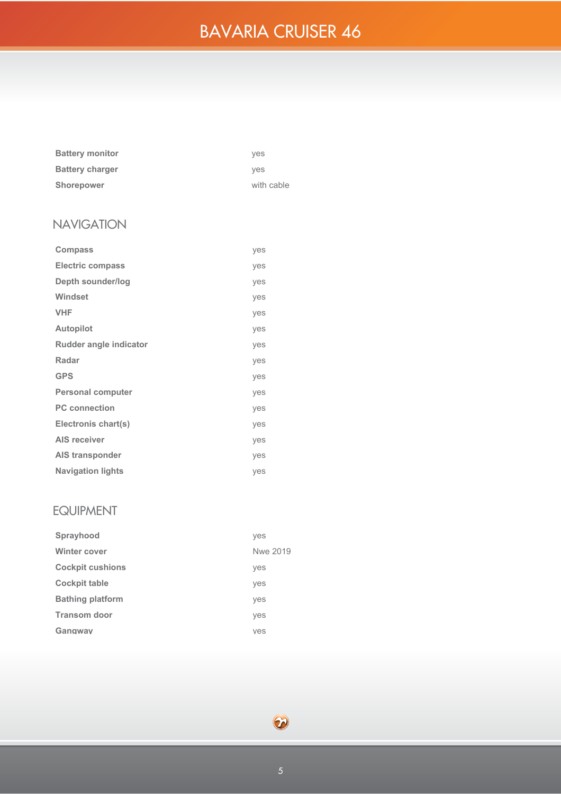| <b>Battery monitor</b> | ves        |
|------------------------|------------|
| <b>Battery charger</b> | ves        |
| Shorepower             | with cable |

### **NAVIGATION**

| <b>Compass</b>           | yes |
|--------------------------|-----|
| <b>Electric compass</b>  | yes |
| Depth sounder/log        | yes |
| Windset                  | yes |
| <b>VHF</b>               | yes |
| <b>Autopilot</b>         | yes |
| Rudder angle indicator   | yes |
| Radar                    | yes |
| <b>GPS</b>               | yes |
| <b>Personal computer</b> | yes |
| <b>PC</b> connection     | yes |
| Electronis chart(s)      | yes |
| <b>AIS receiver</b>      | yes |
| <b>AIS transponder</b>   | yes |
| <b>Navigation lights</b> | yes |

### **EQUIPMENT**

| Sprayhood               | yes      |
|-------------------------|----------|
| <b>Winter cover</b>     | Nwe 2019 |
| <b>Cockpit cushions</b> | yes      |
| <b>Cockpit table</b>    | yes      |
| <b>Bathing platform</b> | yes      |
| <b>Transom door</b>     | yes      |
| Gangway                 | ves      |
|                         |          |



 $\odot$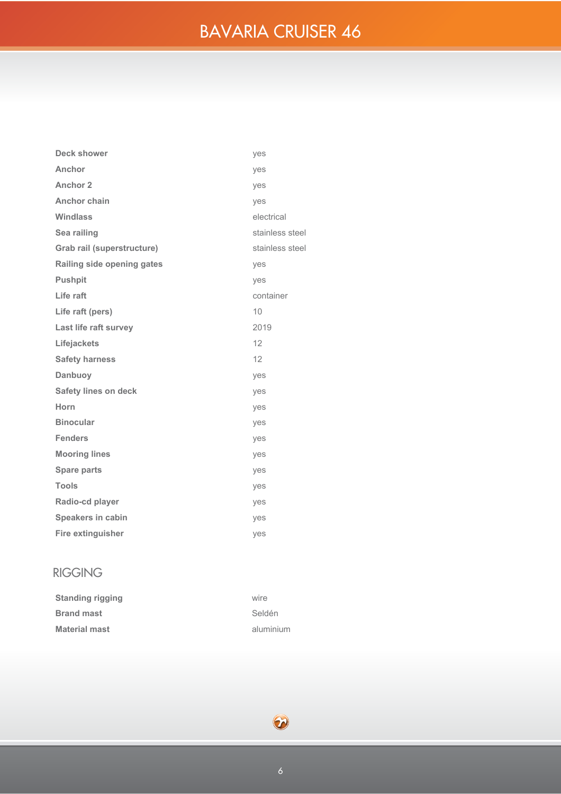| <b>Deck shower</b>          | yes             |
|-----------------------------|-----------------|
| Anchor                      | yes             |
| Anchor 2                    | yes             |
| <b>Anchor chain</b>         | yes             |
| <b>Windlass</b>             | electrical      |
| Sea railing                 | stainless steel |
| Grab rail (superstructure)  | stainless steel |
| Railing side opening gates  | yes             |
| <b>Pushpit</b>              | yes             |
| Life raft                   | container       |
| Life raft (pers)            | 10              |
| Last life raft survey       | 2019            |
| Lifejackets                 | 12              |
| <b>Safety harness</b>       | 12              |
| <b>Danbuoy</b>              | yes             |
| <b>Safety lines on deck</b> | yes             |
| Horn                        | yes             |
| <b>Binocular</b>            | yes             |
| <b>Fenders</b>              | yes             |
| <b>Mooring lines</b>        | yes             |
| <b>Spare parts</b>          | yes             |
| <b>Tools</b>                | yes             |
| Radio-cd player             | yes             |
| <b>Speakers in cabin</b>    | yes             |
| <b>Fire extinguisher</b>    | ves             |

### **RIGGING**

| <b>Standing rigging</b> | wire.     |
|-------------------------|-----------|
| <b>Brand mast</b>       | Seldén    |
| <b>Material mast</b>    | aluminium |

 $\odot$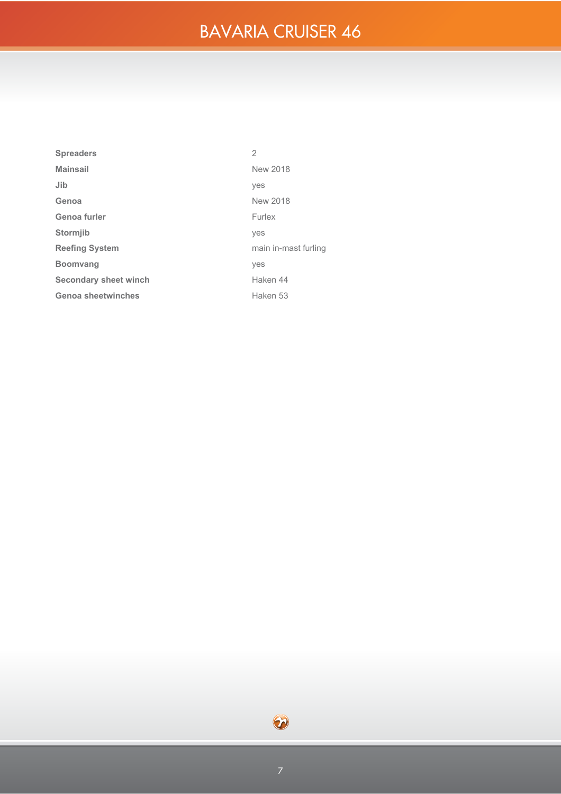| <b>Spreaders</b>          | $\overline{2}$       |
|---------------------------|----------------------|
| <b>Mainsail</b>           | New 2018             |
| Jib                       | yes                  |
| Genoa                     | <b>New 2018</b>      |
| Genoa furler              | Furlex               |
| Stormjib                  | yes                  |
| <b>Reefing System</b>     | main in-mast furling |
| <b>Boomvang</b>           | yes                  |
| Secondary sheet winch     | Haken 44             |
| <b>Genoa sheetwinches</b> | Haken 53             |

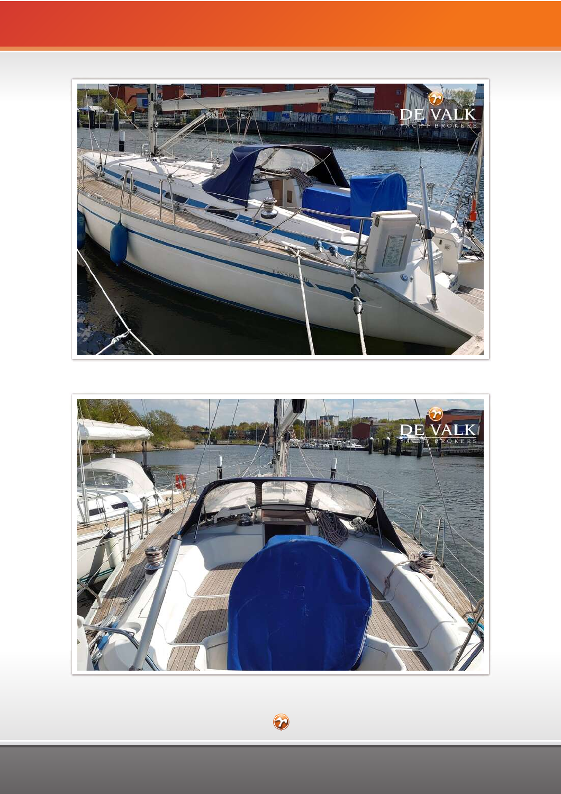# %\$9\$5,\$ &58,6(5



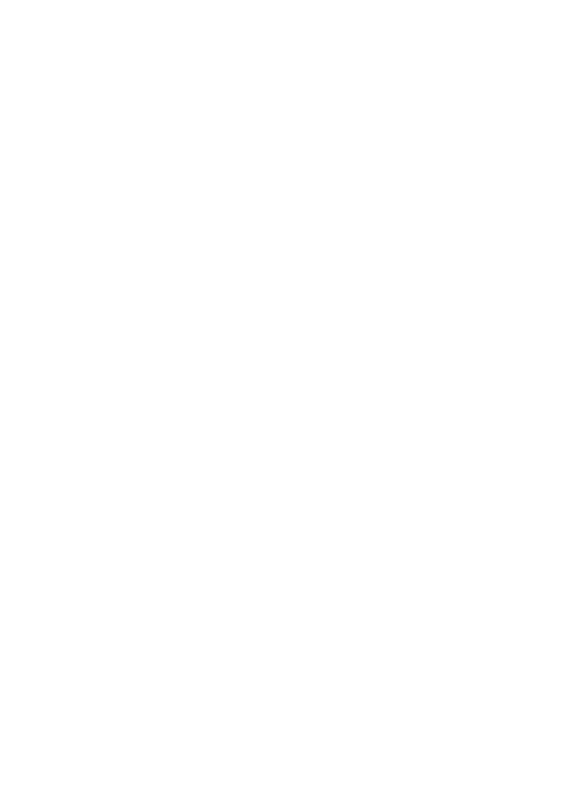| ---- |  |
|------|--|
|      |  |
|      |  |
|      |  |
|      |  |
|      |  |
|      |  |
|      |  |
|      |  |
|      |  |
|      |  |
|      |  |
|      |  |
|      |  |
|      |  |
|      |  |
|      |  |
|      |  |
|      |  |
|      |  |
|      |  |
|      |  |
|      |  |
|      |  |
|      |  |
|      |  |
|      |  |
|      |  |
|      |  |
|      |  |
|      |  |
|      |  |
|      |  |
|      |  |
|      |  |
|      |  |
|      |  |
|      |  |
|      |  |
|      |  |
|      |  |
|      |  |
|      |  |
|      |  |
|      |  |
|      |  |
|      |  |
|      |  |
|      |  |
|      |  |
|      |  |
|      |  |
|      |  |
|      |  |
|      |  |
|      |  |
|      |  |
|      |  |
|      |  |

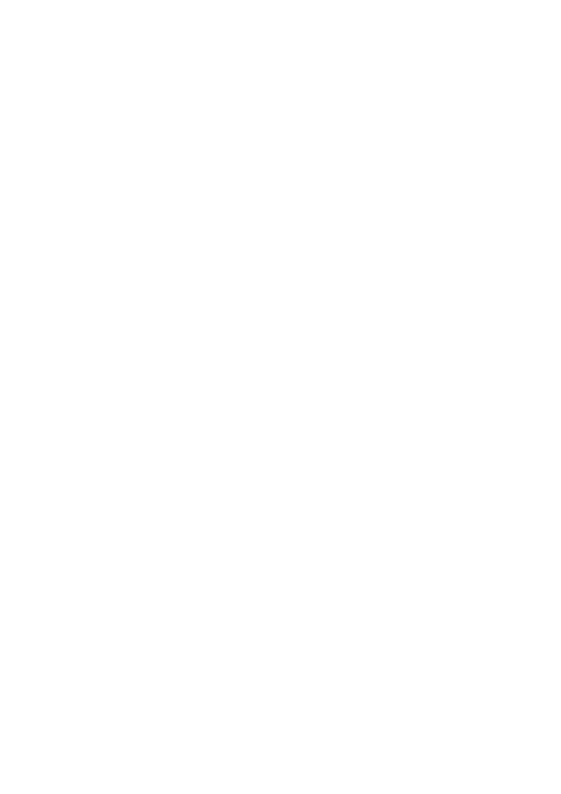| ---- |  |
|------|--|
|      |  |
|      |  |
|      |  |
|      |  |
|      |  |
|      |  |
|      |  |
|      |  |
|      |  |
|      |  |
|      |  |
|      |  |
|      |  |
|      |  |
|      |  |
|      |  |
|      |  |
|      |  |
|      |  |
|      |  |
|      |  |
|      |  |
|      |  |
|      |  |
|      |  |
|      |  |
|      |  |
|      |  |
|      |  |
|      |  |
|      |  |
|      |  |
|      |  |
|      |  |
|      |  |
|      |  |
|      |  |
|      |  |
|      |  |
|      |  |
|      |  |
|      |  |
|      |  |
|      |  |
|      |  |
|      |  |
|      |  |
|      |  |
|      |  |
|      |  |
|      |  |
|      |  |
|      |  |
|      |  |
|      |  |
|      |  |
|      |  |
|      |  |

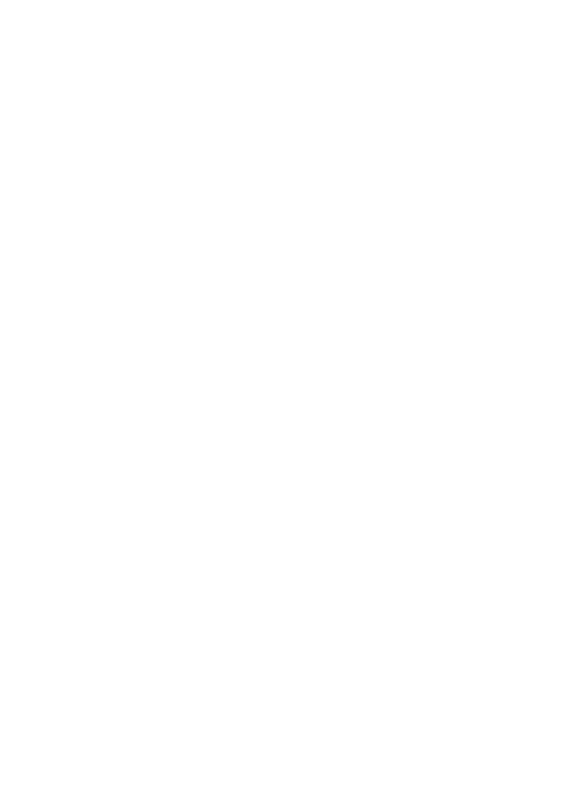| ---- |  |
|------|--|
|      |  |
|      |  |
|      |  |
|      |  |
|      |  |
|      |  |
|      |  |
|      |  |
|      |  |
|      |  |
|      |  |
|      |  |
|      |  |
|      |  |
|      |  |
|      |  |
|      |  |
|      |  |
|      |  |
|      |  |
|      |  |
|      |  |
|      |  |
|      |  |
|      |  |
|      |  |
|      |  |
|      |  |
|      |  |
|      |  |
|      |  |
|      |  |
|      |  |
|      |  |
|      |  |
|      |  |
|      |  |
|      |  |
|      |  |
|      |  |
|      |  |
|      |  |
|      |  |
|      |  |
|      |  |
|      |  |
|      |  |
|      |  |
|      |  |
|      |  |
|      |  |
|      |  |
|      |  |
|      |  |
|      |  |
|      |  |
|      |  |
|      |  |

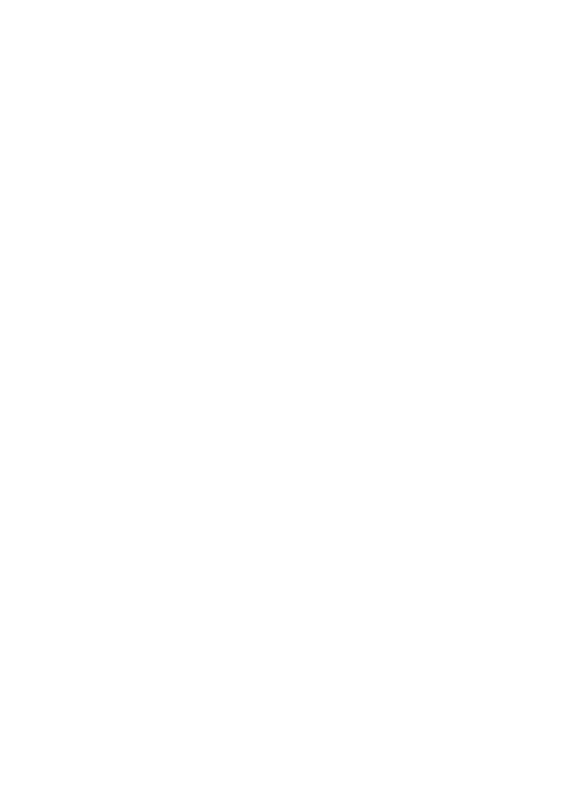| ---- |  |
|------|--|
|      |  |
|      |  |
|      |  |
|      |  |
|      |  |
|      |  |
|      |  |
|      |  |
|      |  |
|      |  |
|      |  |
|      |  |
|      |  |
|      |  |
|      |  |
|      |  |
|      |  |
|      |  |
|      |  |
|      |  |
|      |  |
|      |  |
|      |  |
|      |  |
|      |  |
|      |  |
|      |  |
|      |  |
|      |  |
|      |  |
|      |  |
|      |  |
|      |  |
|      |  |
|      |  |
|      |  |
|      |  |
|      |  |
|      |  |
|      |  |
|      |  |
|      |  |
|      |  |
|      |  |
|      |  |
|      |  |
|      |  |
|      |  |
|      |  |
|      |  |
|      |  |
|      |  |
|      |  |
|      |  |
|      |  |
|      |  |
|      |  |
|      |  |

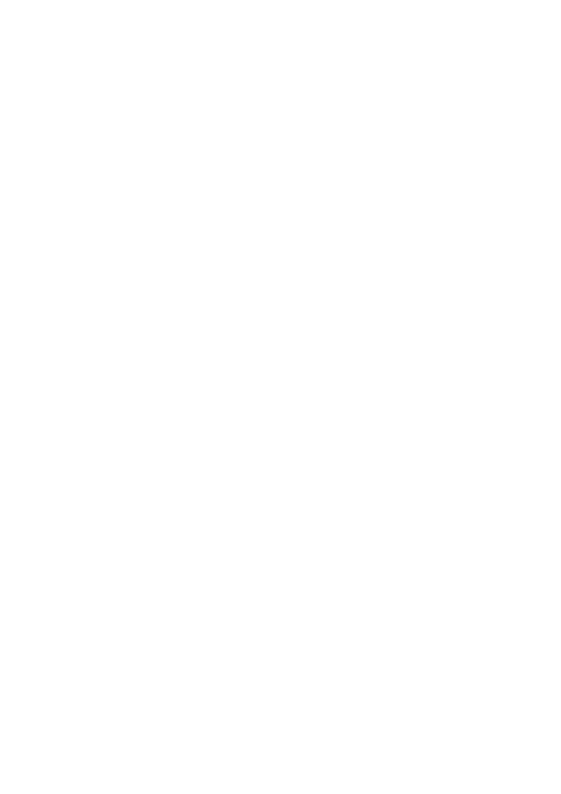| ---- |  |
|------|--|
|      |  |
|      |  |
|      |  |
|      |  |
|      |  |
|      |  |
|      |  |
|      |  |
|      |  |
|      |  |
|      |  |
|      |  |
|      |  |
|      |  |
|      |  |
|      |  |
|      |  |
|      |  |
|      |  |
|      |  |
|      |  |
|      |  |
|      |  |
|      |  |
|      |  |
|      |  |
|      |  |
|      |  |
|      |  |
|      |  |
|      |  |
|      |  |
|      |  |
|      |  |
|      |  |
|      |  |
|      |  |
|      |  |
|      |  |
|      |  |
|      |  |
|      |  |
|      |  |
|      |  |
|      |  |
|      |  |
|      |  |
|      |  |
|      |  |
|      |  |
|      |  |
|      |  |
|      |  |
|      |  |
|      |  |
|      |  |
|      |  |
|      |  |

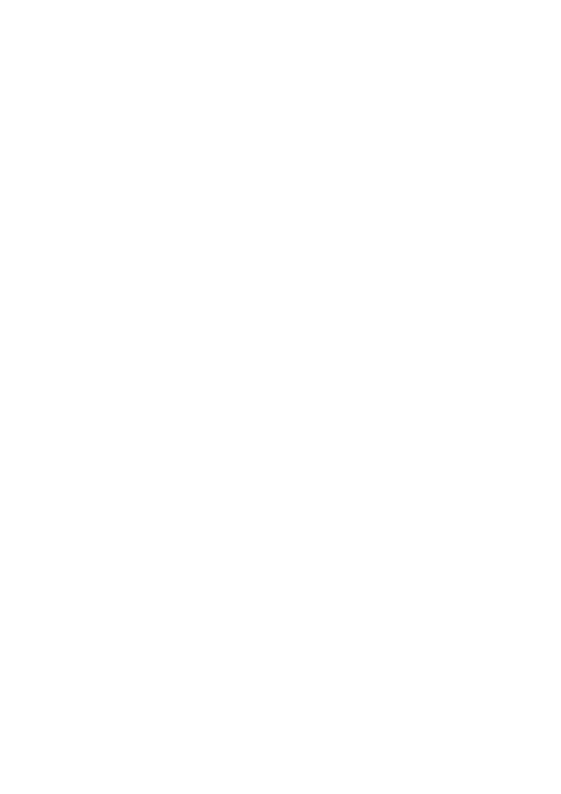| ---- |  |
|------|--|
|      |  |
|      |  |
|      |  |
|      |  |
|      |  |
|      |  |
|      |  |
|      |  |
|      |  |
|      |  |
|      |  |
|      |  |
|      |  |
|      |  |
|      |  |
|      |  |
|      |  |
|      |  |
|      |  |
|      |  |
|      |  |
|      |  |
|      |  |
|      |  |
|      |  |
|      |  |
|      |  |
|      |  |
|      |  |
|      |  |
|      |  |
|      |  |
|      |  |
|      |  |
|      |  |
|      |  |
|      |  |
|      |  |
|      |  |
|      |  |
|      |  |
|      |  |
|      |  |
|      |  |
|      |  |
|      |  |
|      |  |
|      |  |
|      |  |
|      |  |
|      |  |
|      |  |
|      |  |
|      |  |
|      |  |
|      |  |
|      |  |
|      |  |

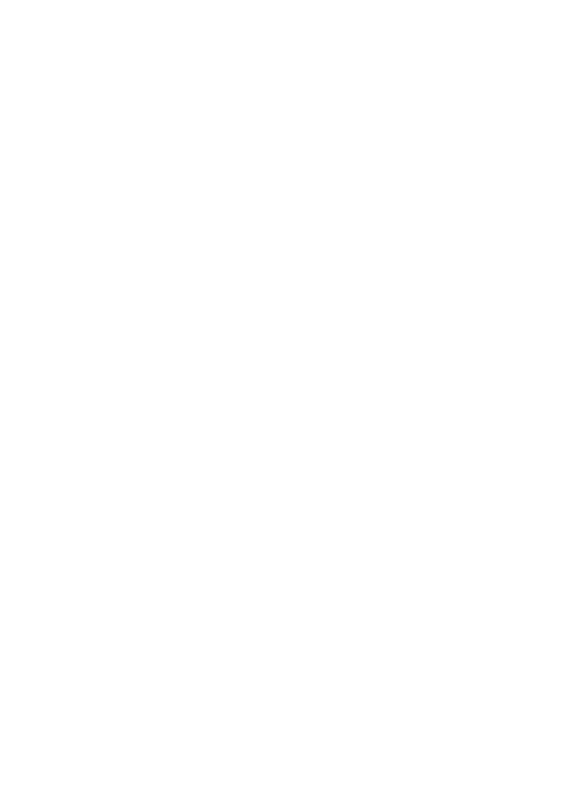| ---- |  |
|------|--|
|      |  |
|      |  |
|      |  |
|      |  |
|      |  |
|      |  |
|      |  |
|      |  |
|      |  |
|      |  |
|      |  |
|      |  |
|      |  |
|      |  |
|      |  |
|      |  |
|      |  |
|      |  |
|      |  |
|      |  |
|      |  |
|      |  |
|      |  |
|      |  |
|      |  |
|      |  |
|      |  |
|      |  |
|      |  |
|      |  |
|      |  |
|      |  |
|      |  |
|      |  |
|      |  |
|      |  |
|      |  |
|      |  |
|      |  |
|      |  |
|      |  |
|      |  |
|      |  |
|      |  |
|      |  |
|      |  |
|      |  |
|      |  |
|      |  |
|      |  |
|      |  |
|      |  |
|      |  |
|      |  |
|      |  |
|      |  |
|      |  |
|      |  |

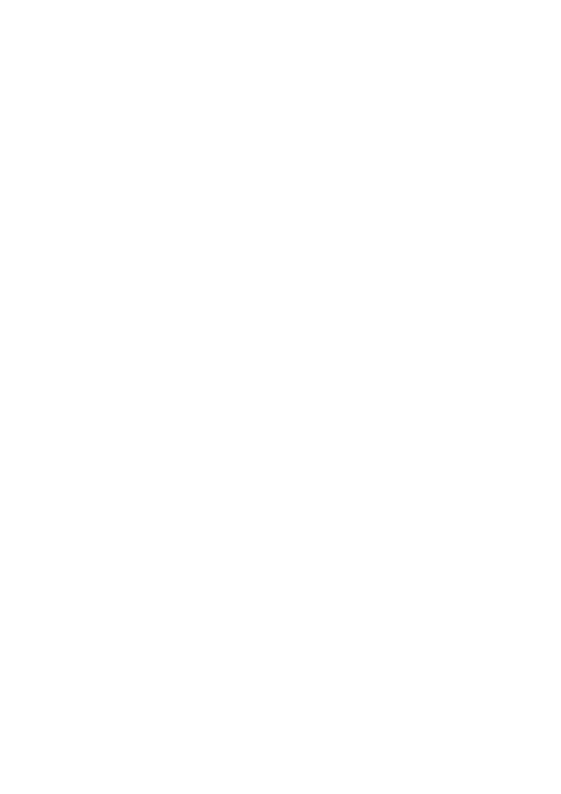| ---- |  |
|------|--|
|      |  |
|      |  |
|      |  |
|      |  |
|      |  |
|      |  |
|      |  |
|      |  |
|      |  |
|      |  |
|      |  |
|      |  |
|      |  |
|      |  |
|      |  |
|      |  |
|      |  |
|      |  |
|      |  |
|      |  |
|      |  |
|      |  |
|      |  |
|      |  |
|      |  |
|      |  |
|      |  |
|      |  |
|      |  |
|      |  |
|      |  |
|      |  |
|      |  |
|      |  |
|      |  |
|      |  |
|      |  |
|      |  |
|      |  |
|      |  |
|      |  |
|      |  |
|      |  |
|      |  |
|      |  |
|      |  |
|      |  |
|      |  |
|      |  |
|      |  |
|      |  |
|      |  |
|      |  |
|      |  |
|      |  |
|      |  |
|      |  |
|      |  |

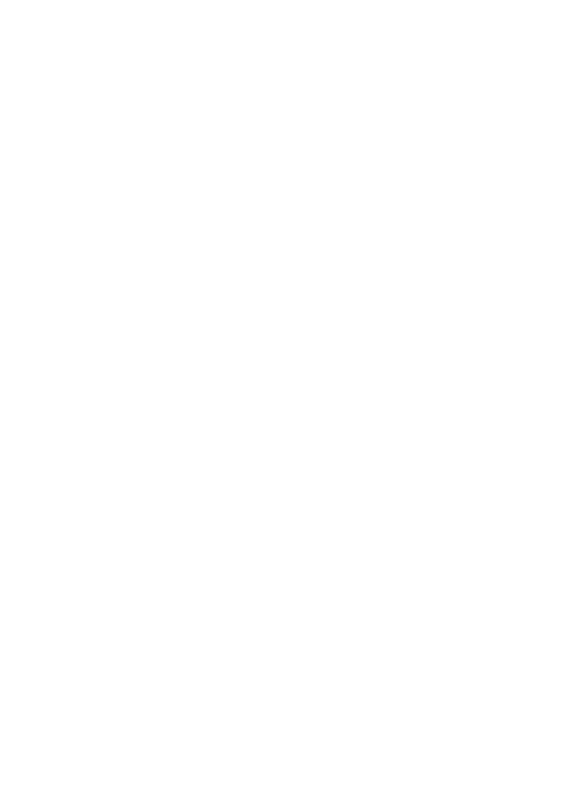| ---- |  |
|------|--|
|      |  |
|      |  |
|      |  |
|      |  |
|      |  |
|      |  |
|      |  |
|      |  |
|      |  |
|      |  |
|      |  |
|      |  |
|      |  |
|      |  |
|      |  |
|      |  |
|      |  |
|      |  |
|      |  |
|      |  |
|      |  |
|      |  |
|      |  |
|      |  |
|      |  |
|      |  |
|      |  |
|      |  |
|      |  |
|      |  |
|      |  |
|      |  |
|      |  |
|      |  |
|      |  |
|      |  |
|      |  |
|      |  |
|      |  |
|      |  |
|      |  |
|      |  |
|      |  |
|      |  |
|      |  |
|      |  |
|      |  |
|      |  |
|      |  |
|      |  |
|      |  |
|      |  |
|      |  |
|      |  |
|      |  |
|      |  |
|      |  |
|      |  |

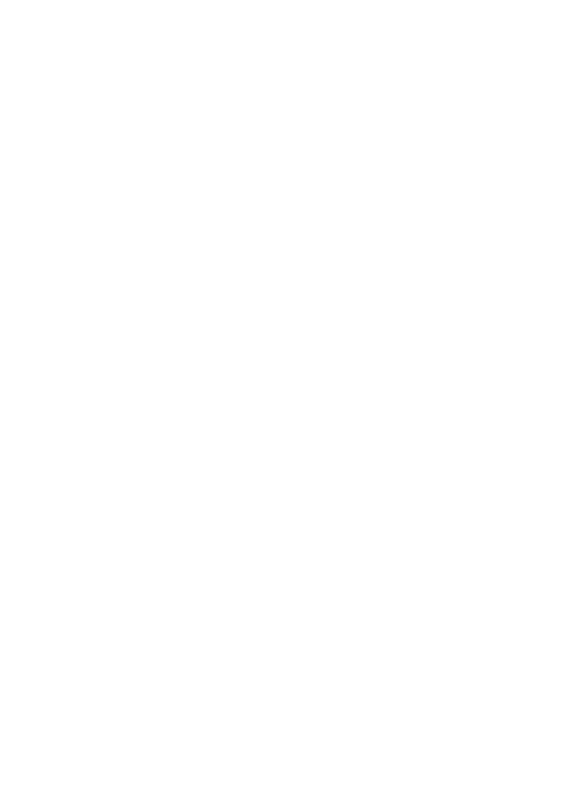| ---- |  |
|------|--|
|      |  |
|      |  |
|      |  |
|      |  |
|      |  |
|      |  |
|      |  |
|      |  |
|      |  |
|      |  |
|      |  |
|      |  |
|      |  |
|      |  |
|      |  |
|      |  |
|      |  |
|      |  |
|      |  |
|      |  |
|      |  |
|      |  |
|      |  |
|      |  |
|      |  |
|      |  |
|      |  |
|      |  |
|      |  |
|      |  |
|      |  |
|      |  |
|      |  |
|      |  |
|      |  |
|      |  |
|      |  |
|      |  |
|      |  |
|      |  |
|      |  |
|      |  |
|      |  |
|      |  |
|      |  |
|      |  |
|      |  |
|      |  |
|      |  |
|      |  |
|      |  |
|      |  |
|      |  |
|      |  |
|      |  |
|      |  |
|      |  |
|      |  |

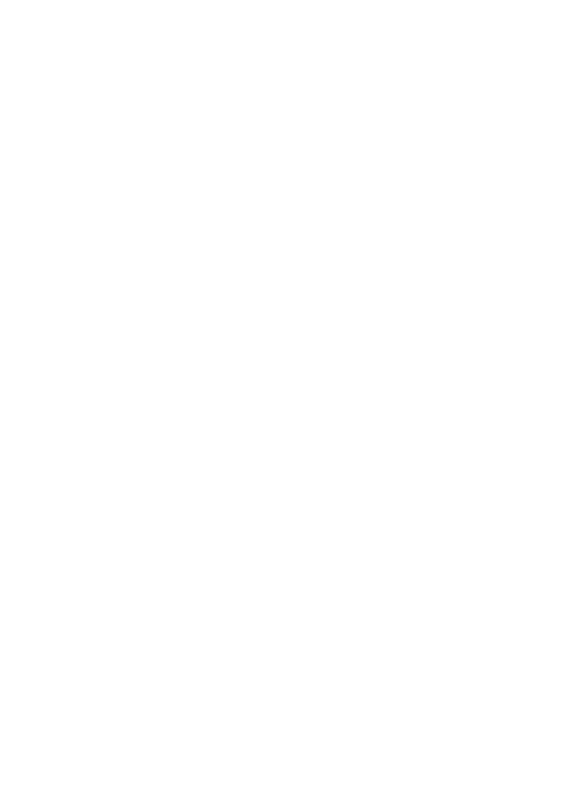| ---- |  |
|------|--|
|      |  |
|      |  |
|      |  |
|      |  |
|      |  |
|      |  |
|      |  |
|      |  |
|      |  |
|      |  |
|      |  |
|      |  |
|      |  |
|      |  |
|      |  |
|      |  |
|      |  |
|      |  |
|      |  |
|      |  |
|      |  |
|      |  |
|      |  |
|      |  |
|      |  |
|      |  |
|      |  |
|      |  |
|      |  |
|      |  |
|      |  |
|      |  |
|      |  |
|      |  |
|      |  |
|      |  |
|      |  |
|      |  |
|      |  |
|      |  |
|      |  |
|      |  |
|      |  |
|      |  |
|      |  |
|      |  |
|      |  |
|      |  |
|      |  |
|      |  |
|      |  |
|      |  |
|      |  |
|      |  |
|      |  |
|      |  |
|      |  |
|      |  |

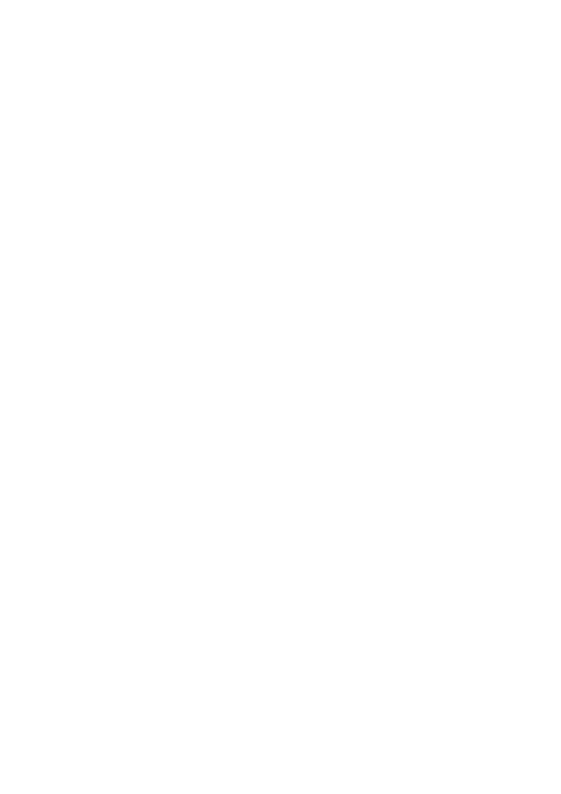| ---- |  |
|------|--|
|      |  |
|      |  |
|      |  |
|      |  |
|      |  |
|      |  |
|      |  |
|      |  |
|      |  |
|      |  |
|      |  |
|      |  |
|      |  |
|      |  |
|      |  |
|      |  |
|      |  |
|      |  |
|      |  |
|      |  |
|      |  |
|      |  |
|      |  |
|      |  |
|      |  |
|      |  |
|      |  |
|      |  |
|      |  |
|      |  |
|      |  |
|      |  |
|      |  |
|      |  |
|      |  |
|      |  |
|      |  |
|      |  |
|      |  |
|      |  |
|      |  |
|      |  |
|      |  |
|      |  |
|      |  |
|      |  |
|      |  |
|      |  |
|      |  |
|      |  |
|      |  |
|      |  |
|      |  |
|      |  |
|      |  |
|      |  |
|      |  |
|      |  |

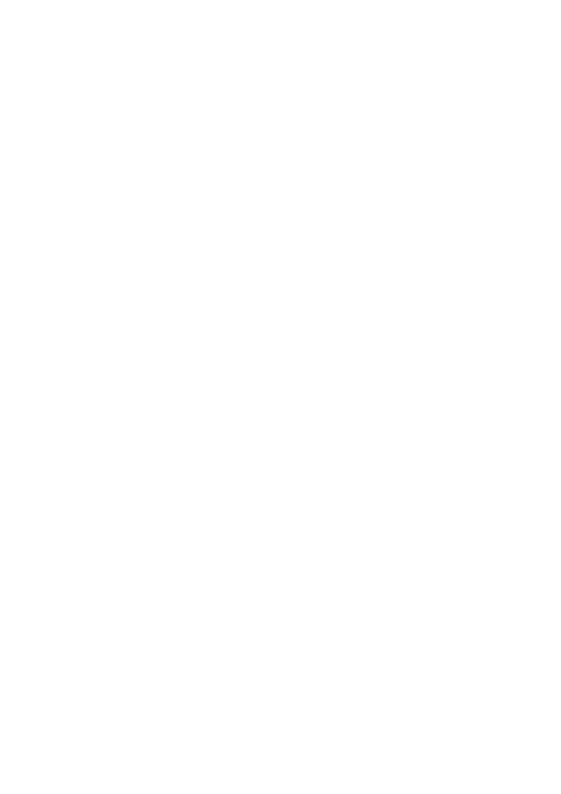| ---- |  |
|------|--|
|      |  |
|      |  |
|      |  |
|      |  |
|      |  |
|      |  |
|      |  |
|      |  |
|      |  |
|      |  |
|      |  |
|      |  |
|      |  |
|      |  |
|      |  |
|      |  |
|      |  |
|      |  |
|      |  |
|      |  |
|      |  |
|      |  |
|      |  |
|      |  |
|      |  |
|      |  |
|      |  |
|      |  |
|      |  |
|      |  |
|      |  |
|      |  |
|      |  |
|      |  |
|      |  |
|      |  |
|      |  |
|      |  |
|      |  |
|      |  |
|      |  |
|      |  |
|      |  |
|      |  |
|      |  |
|      |  |
|      |  |
|      |  |
|      |  |
|      |  |
|      |  |
|      |  |
|      |  |
|      |  |
|      |  |
|      |  |
|      |  |
|      |  |

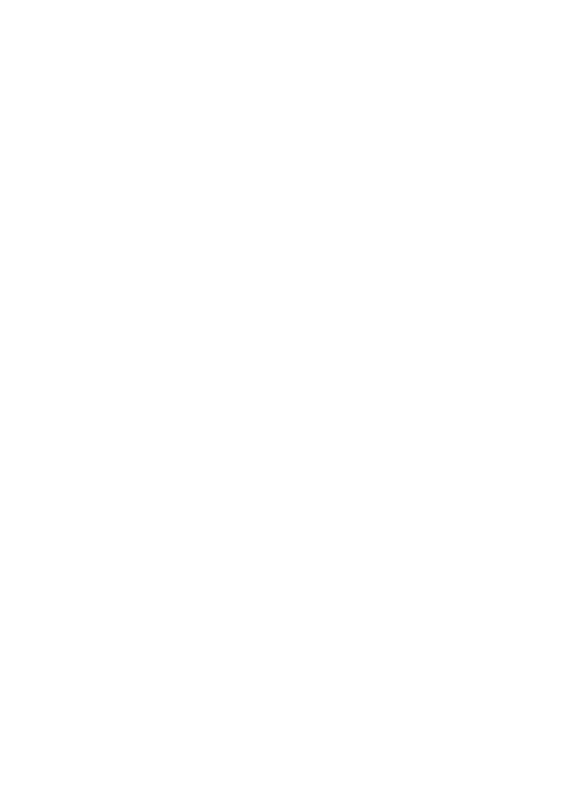| ---- |  |
|------|--|
|      |  |
|      |  |
|      |  |
|      |  |
|      |  |
|      |  |
|      |  |
|      |  |
|      |  |
|      |  |
|      |  |
|      |  |
|      |  |
|      |  |
|      |  |
|      |  |
|      |  |
|      |  |
|      |  |
|      |  |
|      |  |
|      |  |
|      |  |
|      |  |
|      |  |
|      |  |
|      |  |
|      |  |
|      |  |
|      |  |
|      |  |
|      |  |
|      |  |
|      |  |
|      |  |
|      |  |
|      |  |
|      |  |
|      |  |
|      |  |
|      |  |
|      |  |
|      |  |
|      |  |
|      |  |
|      |  |
|      |  |
|      |  |
|      |  |
|      |  |
|      |  |
|      |  |
|      |  |
|      |  |
|      |  |
|      |  |
|      |  |
|      |  |

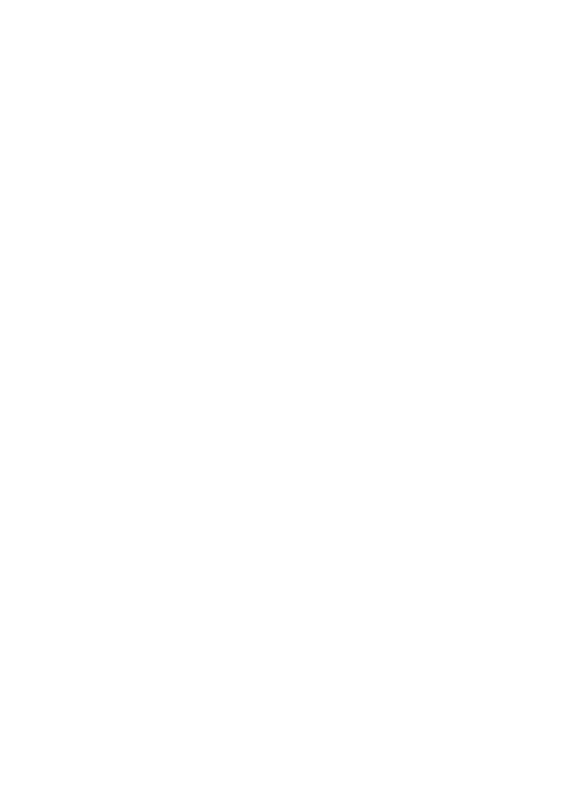| ---- |  |
|------|--|
|      |  |
|      |  |
|      |  |
|      |  |
|      |  |
|      |  |
|      |  |
|      |  |
|      |  |
|      |  |
|      |  |
|      |  |
|      |  |
|      |  |
|      |  |
|      |  |
|      |  |
|      |  |
|      |  |
|      |  |
|      |  |
|      |  |
|      |  |
|      |  |
|      |  |
|      |  |
|      |  |
|      |  |
|      |  |
|      |  |
|      |  |
|      |  |
|      |  |
|      |  |
|      |  |
|      |  |
|      |  |
|      |  |
|      |  |
|      |  |
|      |  |
|      |  |
|      |  |
|      |  |
|      |  |
|      |  |
|      |  |
|      |  |
|      |  |
|      |  |
|      |  |
|      |  |
|      |  |
|      |  |
|      |  |
|      |  |
|      |  |
|      |  |

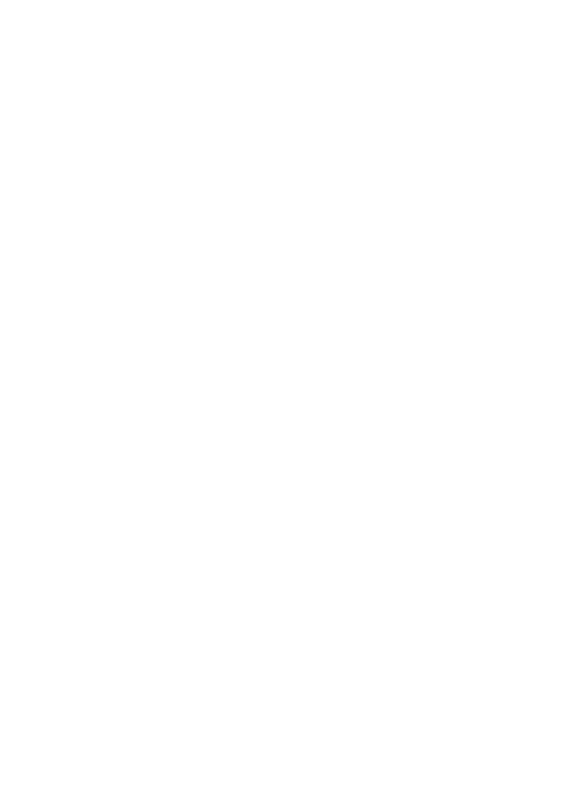| ---- |  |
|------|--|
|      |  |
|      |  |
|      |  |
|      |  |
|      |  |
|      |  |
|      |  |
|      |  |
|      |  |
|      |  |
|      |  |
|      |  |
|      |  |
|      |  |
|      |  |
|      |  |
|      |  |
|      |  |
|      |  |
|      |  |
|      |  |
|      |  |
|      |  |
|      |  |
|      |  |
|      |  |
|      |  |
|      |  |
|      |  |
|      |  |
|      |  |
|      |  |
|      |  |
|      |  |
|      |  |
|      |  |
|      |  |
|      |  |
|      |  |
|      |  |
|      |  |
|      |  |
|      |  |
|      |  |
|      |  |
|      |  |
|      |  |
|      |  |
|      |  |
|      |  |
|      |  |
|      |  |
|      |  |
|      |  |
|      |  |
|      |  |
|      |  |
|      |  |

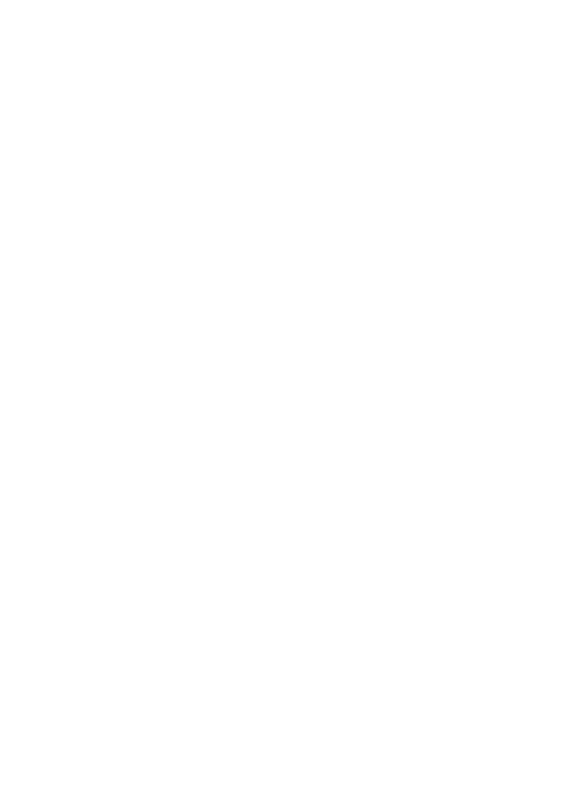| ---- |  |
|------|--|
|      |  |
|      |  |
|      |  |
|      |  |
|      |  |
|      |  |
|      |  |
|      |  |
|      |  |
|      |  |
|      |  |
|      |  |
|      |  |
|      |  |
|      |  |
|      |  |
|      |  |
|      |  |
|      |  |
|      |  |
|      |  |
|      |  |
|      |  |
|      |  |
|      |  |
|      |  |
|      |  |
|      |  |
|      |  |
|      |  |
|      |  |
|      |  |
|      |  |
|      |  |
|      |  |
|      |  |
|      |  |
|      |  |
|      |  |
|      |  |
|      |  |
|      |  |
|      |  |
|      |  |
|      |  |
|      |  |
|      |  |
|      |  |
|      |  |
|      |  |
|      |  |
|      |  |
|      |  |
|      |  |
|      |  |
|      |  |
|      |  |
|      |  |